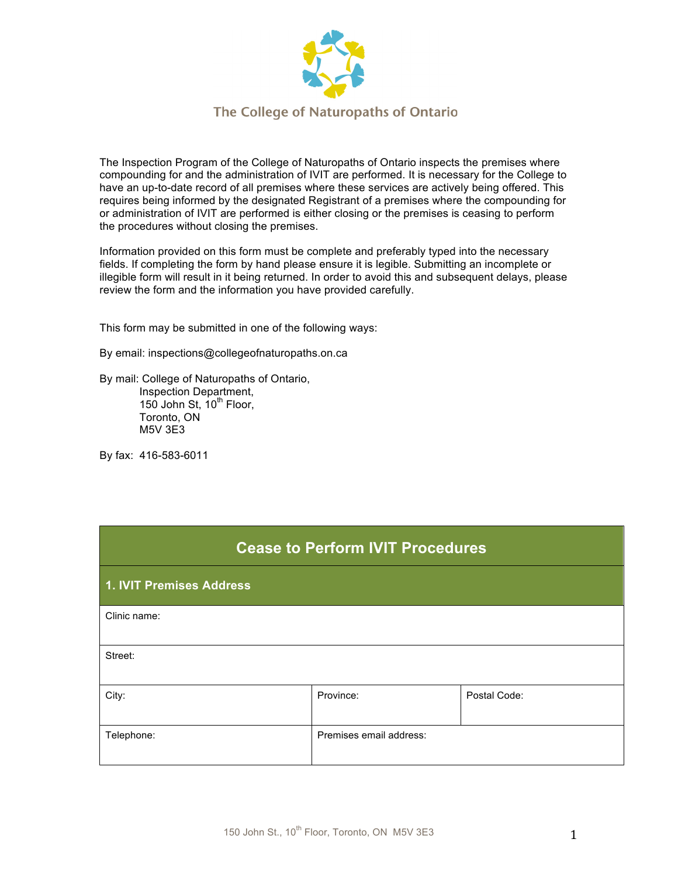

The Inspection Program of the College of Naturopaths of Ontario inspects the premises where compounding for and the administration of IVIT are performed. It is necessary for the College to have an up-to-date record of all premises where these services are actively being offered. This requires being informed by the designated Registrant of a premises where the compounding for or administration of IVIT are performed is either closing or the premises is ceasing to perform the procedures without closing the premises.

Information provided on this form must be complete and preferably typed into the necessary fields. If completing the form by hand please ensure it is legible. Submitting an incomplete or illegible form will result in it being returned. In order to avoid this and subsequent delays, please review the form and the information you have provided carefully.

This form may be submitted in one of the following ways:

By email: inspections@collegeofnaturopaths.on.ca

By mail: College of Naturopaths of Ontario, Inspection Department, 150 John St,  $10^{th}$  Floor, Toronto, ON M5V 3E3

By fax: 416-583-6011

| <b>Cease to Perform IVIT Procedures</b> |                         |              |  |  |  |  |
|-----------------------------------------|-------------------------|--------------|--|--|--|--|
| 1. IVIT Premises Address                |                         |              |  |  |  |  |
| Clinic name:                            |                         |              |  |  |  |  |
| Street:                                 |                         |              |  |  |  |  |
| City:                                   | Province:               | Postal Code: |  |  |  |  |
| Telephone:                              | Premises email address: |              |  |  |  |  |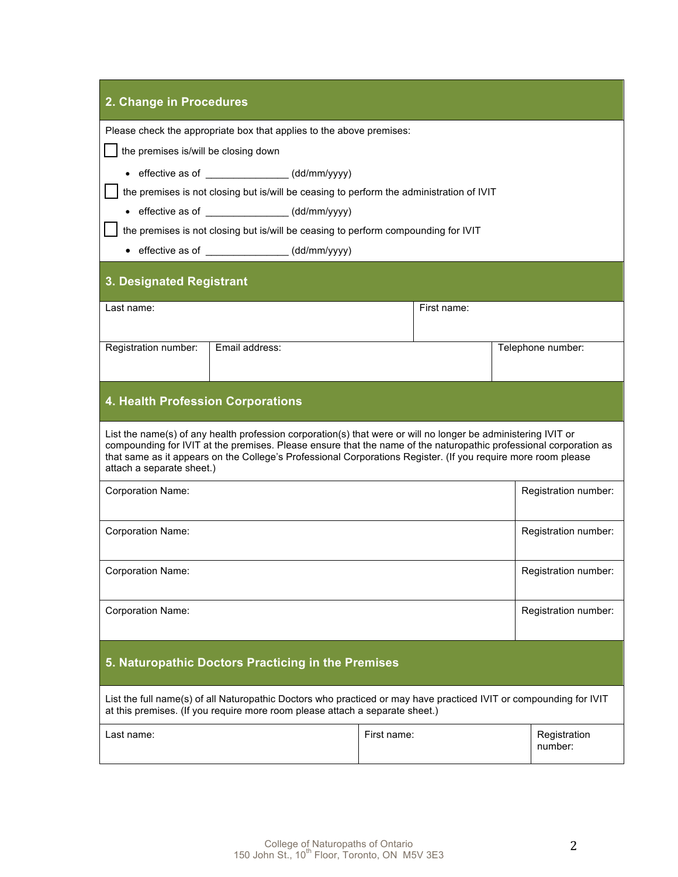| 2. Change in Procedures                                                                                                                                                                                                                                                                                                                                                          |                                                 |             |  |                         |  |  |  |  |
|----------------------------------------------------------------------------------------------------------------------------------------------------------------------------------------------------------------------------------------------------------------------------------------------------------------------------------------------------------------------------------|-------------------------------------------------|-------------|--|-------------------------|--|--|--|--|
| Please check the appropriate box that applies to the above premises:                                                                                                                                                                                                                                                                                                             |                                                 |             |  |                         |  |  |  |  |
| the premises is/will be closing down                                                                                                                                                                                                                                                                                                                                             |                                                 |             |  |                         |  |  |  |  |
| • effective as of ________________(dd/mm/yyyy)                                                                                                                                                                                                                                                                                                                                   |                                                 |             |  |                         |  |  |  |  |
| the premises is not closing but is/will be ceasing to perform the administration of IVIT                                                                                                                                                                                                                                                                                         |                                                 |             |  |                         |  |  |  |  |
| • effective as of _________________(dd/mm/yyyy)<br>the premises is not closing but is/will be ceasing to perform compounding for IVIT                                                                                                                                                                                                                                            |                                                 |             |  |                         |  |  |  |  |
|                                                                                                                                                                                                                                                                                                                                                                                  | • effective as of _________________(dd/mm/yyyy) |             |  |                         |  |  |  |  |
|                                                                                                                                                                                                                                                                                                                                                                                  |                                                 |             |  |                         |  |  |  |  |
| 3. Designated Registrant                                                                                                                                                                                                                                                                                                                                                         |                                                 |             |  |                         |  |  |  |  |
| First name:<br>Last name:                                                                                                                                                                                                                                                                                                                                                        |                                                 |             |  |                         |  |  |  |  |
|                                                                                                                                                                                                                                                                                                                                                                                  |                                                 |             |  |                         |  |  |  |  |
| Registration number:                                                                                                                                                                                                                                                                                                                                                             | Email address:                                  |             |  | Telephone number:       |  |  |  |  |
|                                                                                                                                                                                                                                                                                                                                                                                  |                                                 |             |  |                         |  |  |  |  |
| <b>4. Health Profession Corporations</b>                                                                                                                                                                                                                                                                                                                                         |                                                 |             |  |                         |  |  |  |  |
| List the name(s) of any health profession corporation(s) that were or will no longer be administering IVIT or<br>compounding for IVIT at the premises. Please ensure that the name of the naturopathic professional corporation as<br>that same as it appears on the College's Professional Corporations Register. (If you require more room please<br>attach a separate sheet.) |                                                 |             |  |                         |  |  |  |  |
| <b>Corporation Name:</b>                                                                                                                                                                                                                                                                                                                                                         |                                                 |             |  | Registration number:    |  |  |  |  |
| <b>Corporation Name:</b>                                                                                                                                                                                                                                                                                                                                                         |                                                 |             |  | Registration number:    |  |  |  |  |
| <b>Corporation Name:</b>                                                                                                                                                                                                                                                                                                                                                         |                                                 |             |  | Registration number:    |  |  |  |  |
| <b>Corporation Name:</b>                                                                                                                                                                                                                                                                                                                                                         |                                                 |             |  | Registration number:    |  |  |  |  |
| 5. Naturopathic Doctors Practicing in the Premises                                                                                                                                                                                                                                                                                                                               |                                                 |             |  |                         |  |  |  |  |
| List the full name(s) of all Naturopathic Doctors who practiced or may have practiced IVIT or compounding for IVIT<br>at this premises. (If you require more room please attach a separate sheet.)                                                                                                                                                                               |                                                 |             |  |                         |  |  |  |  |
| Last name:                                                                                                                                                                                                                                                                                                                                                                       |                                                 | First name: |  | Registration<br>number: |  |  |  |  |